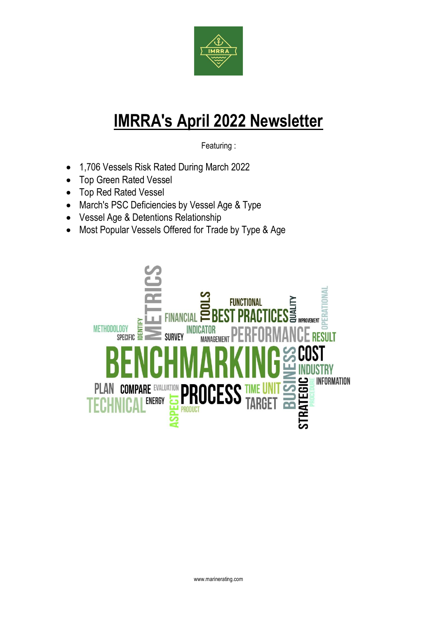

# **IMRRA's April 2022 Newsletter**

Featuring :

- 1,706 Vessels Risk Rated During March 2022
- Top Green Rated Vessel
- Top Red Rated Vessel
- March's PSC Deficiencies by Vessel Age & Type
- Vessel Age & Detentions Relationship
- Most Popular Vessels Offered for Trade by Type & Age

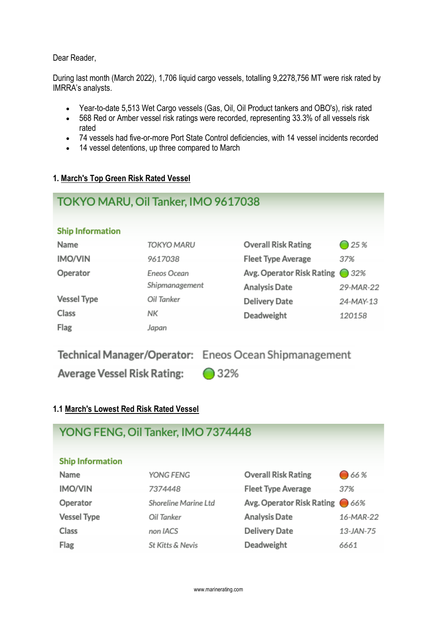Dear Reader,

During last month (March 2022), 1,706 liquid cargo vessels, totalling 9,2278,756 MT were risk rated by IMRRA's analysts.

- Year-to-date 5,513 Wet Cargo vessels (Gas, Oil, Oil Product tankers and OBO's), risk rated
- 568 Red or Amber vessel risk ratings were recorded, representing 33.3% of all vessels risk rated
- 74 vessels had five-or-more Port State Control deficiencies, with 14 vessel incidents recorded
- 14 vessel detentions, up three compared to March

#### **1. March's Top Green Risk Rated Vessel**

| TOKYO MARU, Oil Tanker, IMO 9617038 |                |                            |                 |  |  |
|-------------------------------------|----------------|----------------------------|-----------------|--|--|
| <b>Ship Information</b>             |                |                            |                 |  |  |
| Name                                | TOKYO MARU     | <b>Overall Risk Rating</b> | $\bigcirc$ 25 % |  |  |
| <b>IMO/VIN</b>                      | 9617038        | <b>Fleet Type Average</b>  | 37%             |  |  |
| Operator                            | Eneos Ocean    | Avg. Operator Risk Rating  | $\bigcirc$ 32%  |  |  |
|                                     | Shipmanagement | <b>Analysis Date</b>       | 29-MAR-22       |  |  |
| <b>Vessel Type</b>                  | Oil Tanker     | <b>Delivery Date</b>       | 24-MAY-13       |  |  |
| Class                               | NΚ             | Deadweight                 | 120158          |  |  |
| Flag                                | Japan          |                            |                 |  |  |

Technical Manager/Operator: Eneos Ocean Shipmanagement

**Average Vessel Risk Rating:** 

◯ 32%

# **1.1 March's Lowest Red Risk Rated Vessel**

| YONG FENG, Oil Tanker, IMO 7374448 |                      |                               |           |  |  |
|------------------------------------|----------------------|-------------------------------|-----------|--|--|
| <b>Ship Information</b>            |                      |                               |           |  |  |
| Name                               | YONG FENG            | <b>Overall Risk Rating</b>    | ●66%      |  |  |
| <b>IMO/VIN</b>                     | 7374448              | <b>Fleet Type Average</b>     | 37%       |  |  |
| Operator                           | Shoreline Marine Ltd | Avg. Operator Risk Rating 66% |           |  |  |
| <b>Vessel Type</b>                 | Oil Tanker           | <b>Analysis Date</b>          | 16-MAR-22 |  |  |
| Class                              | non IACS             | <b>Delivery Date</b>          | 13-JAN-75 |  |  |
| Flag                               | St Kitts & Nevis     | Deadweight                    | 6661      |  |  |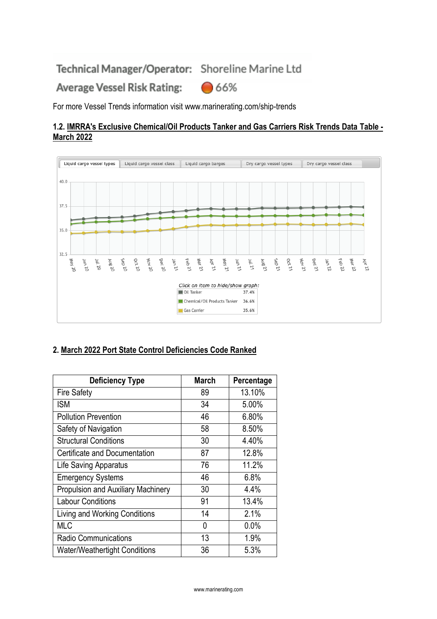Technical Manager/Operator: Shoreline Marine Ltd

Average Vessel Risk Rating: ●66%

For more Vessel Trends information visit www.marinerating.com/ship-trends

#### **1.2. IMRRA's Exclusive Chemical/Oil Products Tanker and Gas Carriers Risk Trends Data Table - March 2022**



# **2. March 2022 Port State Control Deficiencies Code Ranked**

| <b>Deficiency Type</b>                    | <b>March</b> | Percentage |
|-------------------------------------------|--------------|------------|
| <b>Fire Safety</b>                        | 89           | 13.10%     |
| <b>ISM</b>                                | 34           | 5.00%      |
| <b>Pollution Prevention</b>               | 46           | 6.80%      |
| Safety of Navigation                      | 58           | 8.50%      |
| <b>Structural Conditions</b>              | 30           | 4.40%      |
| Certificate and Documentation             | 87           | 12.8%      |
| Life Saving Apparatus                     | 76           | 11.2%      |
| <b>Emergency Systems</b>                  | 46           | 6.8%       |
| <b>Propulsion and Auxiliary Machinery</b> | 30           | 4.4%       |
| <b>Labour Conditions</b>                  | 91           | 13.4%      |
| Living and Working Conditions             | 14           | 2.1%       |
| MLC                                       | 0            | 0.0%       |
| <b>Radio Communications</b>               | 13           | 1.9%       |
| <b>Water/Weathertight Conditions</b>      | 36           | 5.3%       |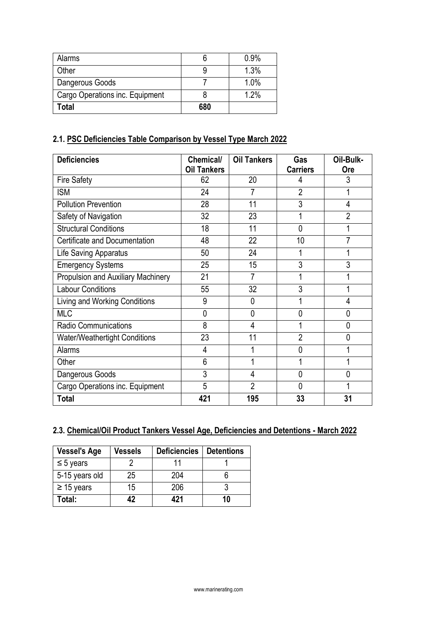| Alarms                          |     | 0.9% |
|---------------------------------|-----|------|
| Other                           |     | 1.3% |
| Dangerous Goods                 |     | 1.0% |
| Cargo Operations inc. Equipment |     | 1.2% |
| Total                           | 680 |      |

# **2.1. PSC Deficiencies Table Comparison by Vessel Type March 2022**

| <b>Deficiencies</b>                  | Chemical/          | <b>Oil Tankers</b> | Gas             | Oil-Bulk-      |
|--------------------------------------|--------------------|--------------------|-----------------|----------------|
|                                      | <b>Oil Tankers</b> |                    | <b>Carriers</b> | <b>Ore</b>     |
| Fire Safety                          | 62                 | 20                 | 4               | 3              |
| <b>ISM</b>                           | 24                 |                    | $\overline{2}$  |                |
| <b>Pollution Prevention</b>          | 28                 | 11                 | 3               | 4              |
| Safety of Navigation                 | 32                 | 23                 | 1               | $\overline{2}$ |
| <b>Structural Conditions</b>         | 18                 | 11                 | $\overline{0}$  |                |
| Certificate and Documentation        | 48                 | 22                 | 10              |                |
| Life Saving Apparatus                | 50                 | 24                 | 1               |                |
| <b>Emergency Systems</b>             | 25                 | 15                 | 3               | 3              |
| Propulsion and Auxiliary Machinery   | 21                 | $\overline{7}$     | 1               |                |
| <b>Labour Conditions</b>             | 55                 | 32                 | 3               |                |
| Living and Working Conditions        | 9                  | $\mathbf 0$        |                 | 4              |
| <b>MLC</b>                           | $\mathbf{0}$       | $\mathbf 0$        | 0               | 0              |
| <b>Radio Communications</b>          | 8                  | 4                  | 1               | 0              |
| <b>Water/Weathertight Conditions</b> | 23                 | 11                 | $\overline{2}$  | 0              |
| Alarms                               | 4                  |                    | 0               |                |
| Other                                | 6                  |                    |                 |                |
| Dangerous Goods                      | 3                  | 4                  | 0               | 0              |
| Cargo Operations inc. Equipment      | 5                  | $\overline{2}$     | $\Omega$        |                |
| <b>Total</b>                         | 421                | 195                | 33              | 31             |

# **2.3. Chemical/Oil Product Tankers Vessel Age, Deficiencies and Detentions - March 2022**

| <b>Vessel's Age</b> | <b>Vessels</b> | <b>Deficiencies</b> | <b>Detentions</b> |
|---------------------|----------------|---------------------|-------------------|
| $\leq$ 5 years      |                |                     |                   |
| 5-15 years old      | 25             | 204                 |                   |
| $\geq$ 15 years     | 15             | 206                 |                   |
| Total:              | 42             | 421                 | 10                |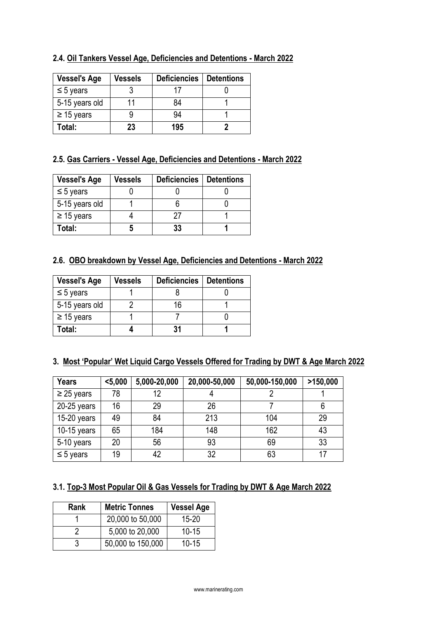| <b>Vessel's Age</b> | <b>Vessels</b> | <b>Deficiencies</b> | <b>Detentions</b> |
|---------------------|----------------|---------------------|-------------------|
| $\leq$ 5 years      |                | 17                  |                   |
| 5-15 years old      |                | 84                  |                   |
| $\geq$ 15 years     |                | 94                  |                   |
| Total:              | 23             | 195                 |                   |

#### **2.4. Oil Tankers Vessel Age, Deficiencies and Detentions - March 2022**

# **2.5. Gas Carriers - Vessel Age, Deficiencies and Detentions - March 2022**

| <b>Vessel's Age</b> | <b>Vessels</b> | <b>Deficiencies</b> | <b>Detentions</b> |
|---------------------|----------------|---------------------|-------------------|
| $\leq 5$ years      |                |                     |                   |
| 5-15 years old      |                |                     |                   |
| $\geq$ 15 years     |                | 27                  |                   |
| Total:              |                | 33                  |                   |

# **2.6. OBO breakdown by Vessel Age, Deficiencies and Detentions - March 2022**

| <b>Vessel's Age</b> | <b>Vessels</b> | <b>Deficiencies</b> | <b>Detentions</b> |
|---------------------|----------------|---------------------|-------------------|
| $\leq$ 5 years      |                |                     |                   |
| 5-15 years old      |                | 16                  |                   |
| $\geq$ 15 years     |                |                     |                   |
| Total:              |                |                     |                   |

#### **3. Most 'Popular' Wet Liquid Cargo Vessels Offered for Trading by DWT & Age March 2022**

| <b>Years</b>    | $5,000$ | 5,000-20,000 | 20,000-50,000 | 50,000-150,000 | >150,000 |
|-----------------|---------|--------------|---------------|----------------|----------|
| $\geq$ 25 years | 78      | 12           |               |                |          |
| $20-25$ years   | 16      | 29           | 26            |                | 6        |
| 15-20 years     | 49      | 84           | 213           | 104            | 29       |
| $10-15$ years   | 65      | 184          | 148           | 162            | 43       |
| 5-10 years      | 20      | 56           | 93            | 69             | 33       |
| $\leq$ 5 years  | 19      | 42           | 32            | 63             | 17       |

# **3.1. Top-3 Most Popular Oil & Gas Vessels for Trading by DWT & Age March 2022**

| Rank | <b>Metric Tonnes</b> | <b>Vessel Age</b> |
|------|----------------------|-------------------|
|      | 20,000 to 50,000     | $15 - 20$         |
|      | 5,000 to 20,000      | $10 - 15$         |
|      | 50,000 to 150,000    | $10 - 15$         |